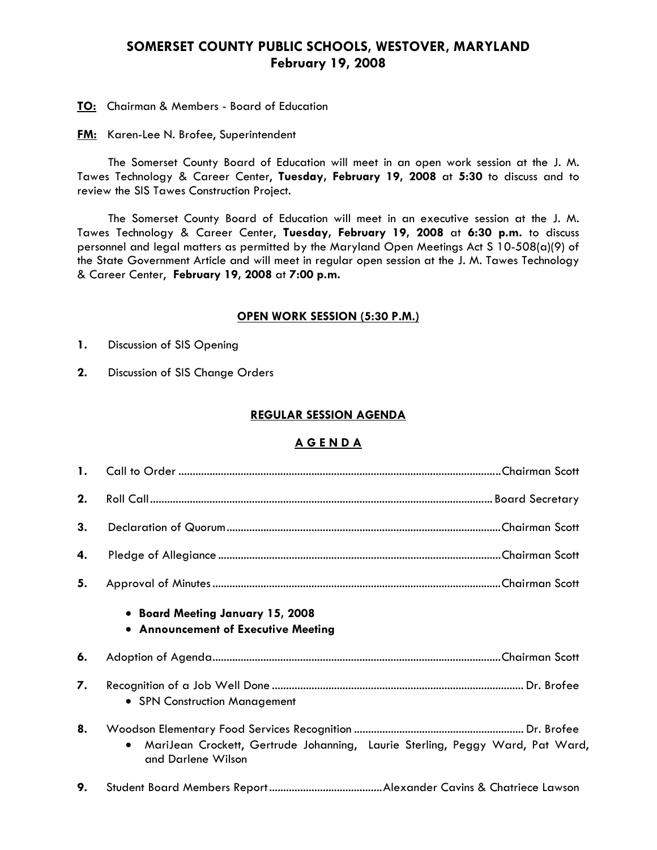# **SOMERSET COUNTY PUBLIC SCHOOLS, WESTOVER, MARYLAND February 19, 2008**

**TO:** Chairman & Members - Board of Education

**FM:** Karen-Lee N. Brofee, Superintendent

 The Somerset County Board of Education will meet in an open work session at the J. M. Tawes Technology & Career Center, **Tuesday, February 19, 2008** at **5:30** to discuss and to review the SIS Tawes Construction Project.

The Somerset County Board of Education will meet in an executive session at the J. M. Tawes Technology & Career Center, **Tuesday, February 19, 2008** at **6:30 p.m.** to discuss personnel and legal matters as permitted by the Maryland Open Meetings Act S 10-508(a)(9) of the State Government Article and will meet in regular open session at the J. M. Tawes Technology & Career Center, **February 19, 2008** at **7:00 p.m.** 

#### **OPEN WORK SESSION (5:30 P.M.)**

- **1.** Discussion of SIS Opening
- **2.** Discussion of SIS Change Orders

#### **REGULAR SESSION AGENDA**

### **A G E N D A**

| 1. |                                                                                                                  |
|----|------------------------------------------------------------------------------------------------------------------|
| 2. |                                                                                                                  |
| 3. |                                                                                                                  |
| 4. |                                                                                                                  |
| 5. |                                                                                                                  |
|    | • Board Meeting January 15, 2008<br>• Announcement of Executive Meeting                                          |
| 6. |                                                                                                                  |
| 7. | • SPN Construction Management                                                                                    |
| 8. | MariJean Crockett, Gertrude Johanning, Laurie Sterling, Peggy Ward, Pat Ward,<br>$\bullet$<br>and Darlene Wilson |
| 9. |                                                                                                                  |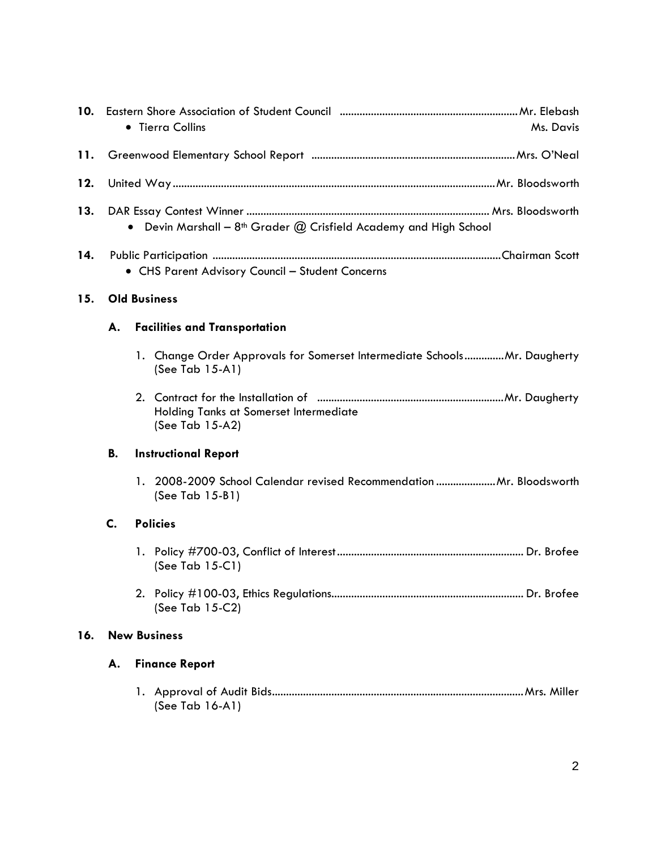| 10. | • Tierra Collins<br>Ms. Davis                                         |  |                                                                                             |  |  |
|-----|-----------------------------------------------------------------------|--|---------------------------------------------------------------------------------------------|--|--|
| 11. |                                                                       |  |                                                                                             |  |  |
| 12. |                                                                       |  |                                                                                             |  |  |
| 13. | • Devin Marshall - $8th$ Grader $@$ Crisfield Academy and High School |  |                                                                                             |  |  |
| 14. | • CHS Parent Advisory Council - Student Concerns                      |  |                                                                                             |  |  |
| 15. | <b>Old Business</b>                                                   |  |                                                                                             |  |  |
|     | А.                                                                    |  | <b>Facilities and Transportation</b>                                                        |  |  |
|     |                                                                       |  | 1. Change Order Approvals for Somerset Intermediate SchoolsMr. Daugherty<br>(See Tab 15-A1) |  |  |
|     |                                                                       |  | Holding Tanks at Somerset Intermediate<br>(See Tab 15-A2)                                   |  |  |
|     | В.                                                                    |  | <b>Instructional Report</b>                                                                 |  |  |
|     |                                                                       |  | 1. 2008-2009 School Calendar revised Recommendation  Mr. Bloodsworth<br>(See Tab $15-B1$ )  |  |  |
|     | C.                                                                    |  | <b>Policies</b>                                                                             |  |  |
|     |                                                                       |  | (See Tab $15-C1$ )                                                                          |  |  |
|     |                                                                       |  | (See Tab 15-C2)                                                                             |  |  |
| 16. | <b>New Business</b>                                                   |  |                                                                                             |  |  |
|     | А.                                                                    |  | <b>Finance Report</b>                                                                       |  |  |
|     |                                                                       |  | (See Tab $16-A1$ )                                                                          |  |  |